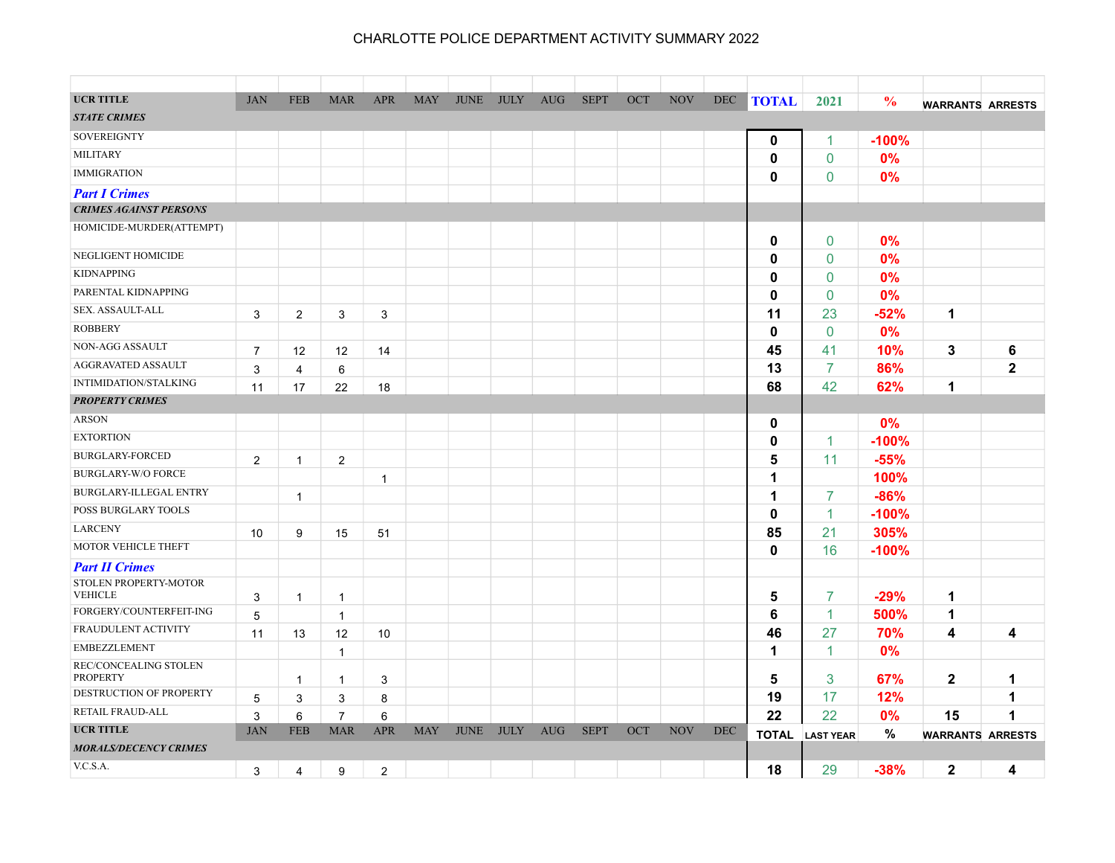| <b>UCR TITLE</b>                          | <b>JAN</b>     | <b>FEB</b>     | <b>MAR</b>     | <b>APR</b>     | <b>MAY</b> | <b>JUNE</b> | <b>JULY</b> | <b>AUG</b> | <b>SEPT</b> | OCT | <b>NOV</b> | <b>DEC</b> | <b>TOTAL</b> | 2021             | $\frac{0}{0}$ |                         |              |
|-------------------------------------------|----------------|----------------|----------------|----------------|------------|-------------|-------------|------------|-------------|-----|------------|------------|--------------|------------------|---------------|-------------------------|--------------|
| <b>STATE CRIMES</b>                       |                |                |                |                |            |             |             |            |             |     |            |            |              |                  |               | <b>WARRANTS ARRESTS</b> |              |
| <b>SOVEREIGNTY</b>                        |                |                |                |                |            |             |             |            |             |     |            |            |              |                  |               |                         |              |
| <b>MILITARY</b>                           |                |                |                |                |            |             |             |            |             |     |            |            | $\mathbf 0$  | 1                | $-100%$       |                         |              |
|                                           |                |                |                |                |            |             |             |            |             |     |            |            | 0            | $\mathbf 0$      | 0%            |                         |              |
| <b>IMMIGRATION</b>                        |                |                |                |                |            |             |             |            |             |     |            |            | 0            | $\mathbf 0$      | 0%            |                         |              |
| <b>Part I Crimes</b>                      |                |                |                |                |            |             |             |            |             |     |            |            |              |                  |               |                         |              |
| <b>CRIMES AGAINST PERSONS</b>             |                |                |                |                |            |             |             |            |             |     |            |            |              |                  |               |                         |              |
| HOMICIDE-MURDER(ATTEMPT)                  |                |                |                |                |            |             |             |            |             |     |            |            | 0            | $\mathbf{0}$     | 0%            |                         |              |
| NEGLIGENT HOMICIDE                        |                |                |                |                |            |             |             |            |             |     |            |            | 0            | $\mathbf{0}$     | 0%            |                         |              |
| <b>KIDNAPPING</b>                         |                |                |                |                |            |             |             |            |             |     |            |            | 0            | $\mathbf 0$      | 0%            |                         |              |
| PARENTAL KIDNAPPING                       |                |                |                |                |            |             |             |            |             |     |            |            | 0            | $\mathbf 0$      | 0%            |                         |              |
| SEX. ASSAULT-ALL                          | 3              | $\overline{2}$ | 3              | 3              |            |             |             |            |             |     |            |            | 11           | 23               | -52%          | $\mathbf 1$             |              |
| <b>ROBBERY</b>                            |                |                |                |                |            |             |             |            |             |     |            |            | 0            | $\mathbf 0$      | 0%            |                         |              |
| NON-AGG ASSAULT                           | $\overline{7}$ | 12             | 12             | 14             |            |             |             |            |             |     |            |            | 45           | 41               | 10%           | 3                       | 6            |
| AGGRAVATED ASSAULT                        | 3              | 4              | 6              |                |            |             |             |            |             |     |            |            | 13           | $\overline{7}$   | 86%           |                         | $\mathbf{2}$ |
| <b>INTIMIDATION/STALKING</b>              | 11             | 17             | 22             | 18             |            |             |             |            |             |     |            |            | 68           | 42               | 62%           | 1                       |              |
| <b>PROPERTY CRIMES</b>                    |                |                |                |                |            |             |             |            |             |     |            |            |              |                  |               |                         |              |
| <b>ARSON</b>                              |                |                |                |                |            |             |             |            |             |     |            |            | $\mathbf 0$  |                  | 0%            |                         |              |
| <b>EXTORTION</b>                          |                |                |                |                |            |             |             |            |             |     |            |            | 0            | $\mathbf{1}$     | $-100%$       |                         |              |
| <b>BURGLARY-FORCED</b>                    | 2              | $\overline{1}$ | $\overline{2}$ |                |            |             |             |            |             |     |            |            | 5            | 11               | $-55%$        |                         |              |
| <b>BURGLARY-W/O FORCE</b>                 |                |                |                | $\mathbf{1}$   |            |             |             |            |             |     |            |            | 1            |                  | 100%          |                         |              |
| BURGLARY-ILLEGAL ENTRY                    |                | $\mathbf{1}$   |                |                |            |             |             |            |             |     |            |            | 1            | 7                | $-86%$        |                         |              |
| POSS BURGLARY TOOLS                       |                |                |                |                |            |             |             |            |             |     |            |            | 0            | 1                | $-100%$       |                         |              |
| <b>LARCENY</b>                            | 10             | 9              | 15             | 51             |            |             |             |            |             |     |            |            | 85           | 21               | 305%          |                         |              |
| MOTOR VEHICLE THEFT                       |                |                |                |                |            |             |             |            |             |     |            |            | 0            | 16               | $-100%$       |                         |              |
| <b>Part II Crimes</b>                     |                |                |                |                |            |             |             |            |             |     |            |            |              |                  |               |                         |              |
| STOLEN PROPERTY-MOTOR                     |                |                |                |                |            |             |             |            |             |     |            |            |              |                  |               |                         |              |
| <b>VEHICLE</b><br>FORGERY/COUNTERFEIT-ING | 3              | $\overline{1}$ | $\mathbf{1}$   |                |            |             |             |            |             |     |            |            | 5            | $\overline{7}$   | $-29%$        | 1                       |              |
| <b>FRAUDULENT ACTIVITY</b>                | 5              |                | $\mathbf{1}$   |                |            |             |             |            |             |     |            |            | 6            | 1                | 500%          | 1                       |              |
| <b>EMBEZZLEMENT</b>                       | 11             | 13             | 12             | 10             |            |             |             |            |             |     |            |            | 46           | 27               | 70%           | 4                       | 4            |
|                                           |                |                | $\mathbf{1}$   |                |            |             |             |            |             |     |            |            | 1            | $\mathbf{1}$     | 0%            |                         |              |
| REC/CONCEALING STOLEN<br><b>PROPERTY</b>  |                | $\mathbf{1}$   | $\mathbf{1}$   | 3              |            |             |             |            |             |     |            |            | 5            | 3                | 67%           | $\mathbf{2}$            | 1            |
| DESTRUCTION OF PROPERTY                   | $\overline{5}$ | 3              | 3              | 8              |            |             |             |            |             |     |            |            | 19           | 17               | 12%           |                         | 1            |
| RETAIL FRAUD-ALL                          | 3              | 6              | $\overline{7}$ | 6              |            |             |             |            |             |     |            |            | 22           | 22               | 0%            | 15                      | 1            |
| <b>UCR TITLE</b>                          | <b>JAN</b>     | <b>FEB</b>     | <b>MAR</b>     | <b>APR</b>     | <b>MAY</b> | <b>JUNE</b> | <b>JULY</b> | <b>AUG</b> | <b>SEPT</b> | OCT | <b>NOV</b> | <b>DEC</b> | <b>TOTAL</b> | <b>LAST YEAR</b> | %             | <b>WARRANTS ARRESTS</b> |              |
| <b>MORALS/DECENCY CRIMES</b>              |                |                |                |                |            |             |             |            |             |     |            |            |              |                  |               |                         |              |
| V.C.S.A.                                  | 3              | 4              | 9              | $\overline{2}$ |            |             |             |            |             |     |            |            | 18           | 29               | $-38%$        | $\mathbf{2}$            | 4            |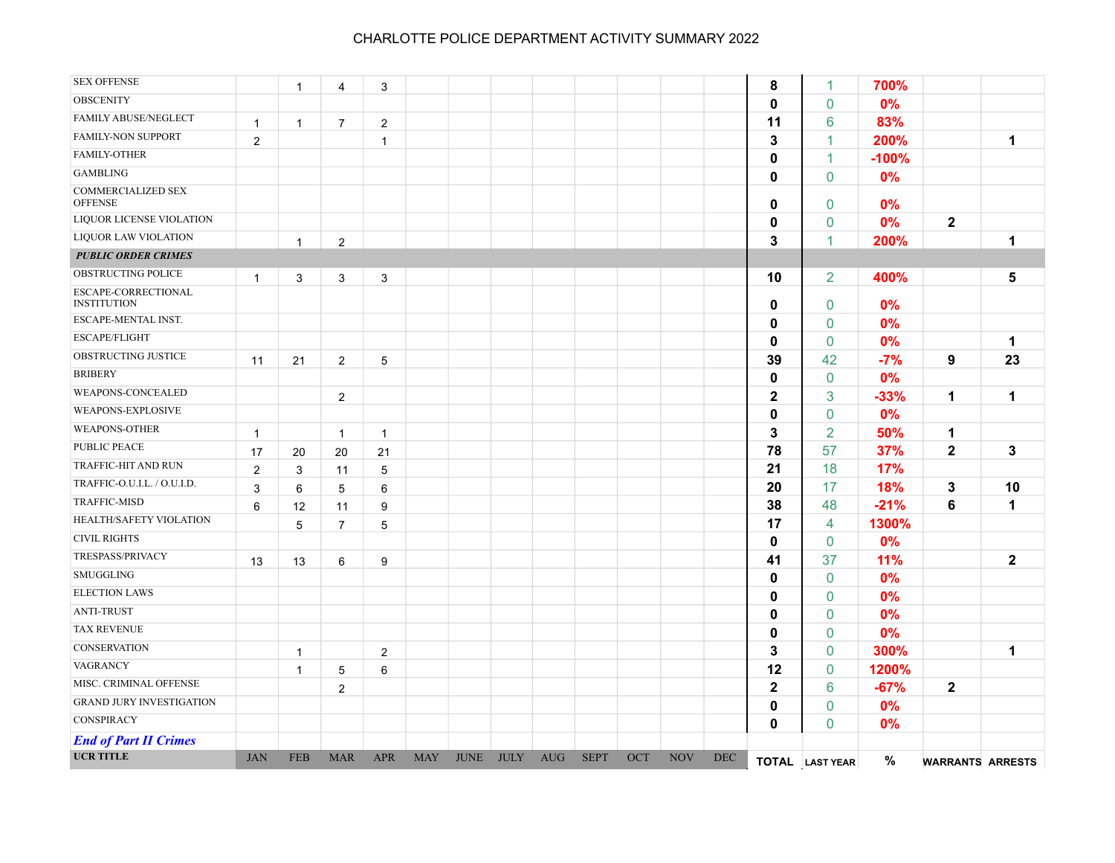| <b>SEX OFFENSE</b>                        |              | $\overline{1}$ | 4              | 3              |            |             |             |            |             |     |            |            | 8            | $\mathbf{1}$    | 700%    |                         |              |
|-------------------------------------------|--------------|----------------|----------------|----------------|------------|-------------|-------------|------------|-------------|-----|------------|------------|--------------|-----------------|---------|-------------------------|--------------|
| <b>OBSCENITY</b>                          |              |                |                |                |            |             |             |            |             |     |            |            | 0            | $\mathbf 0$     | 0%      |                         |              |
| FAMILY ABUSE/NEGLECT                      | $\mathbf{1}$ | $\overline{1}$ | $\overline{7}$ | $\overline{2}$ |            |             |             |            |             |     |            |            | 11           | 6               | 83%     |                         |              |
| <b>FAMILY-NON SUPPORT</b>                 | 2            |                |                | $\mathbf{1}$   |            |             |             |            |             |     |            |            | 3            | $\mathbf{1}$    | 200%    |                         | $\mathbf 1$  |
| FAMILY-OTHER                              |              |                |                |                |            |             |             |            |             |     |            |            | $\mathbf 0$  | $\mathbf{1}$    | $-100%$ |                         |              |
| <b>GAMBLING</b>                           |              |                |                |                |            |             |             |            |             |     |            |            | 0            | $\mathbf{0}$    | 0%      |                         |              |
| COMMERCIALIZED SEX<br><b>OFFENSE</b>      |              |                |                |                |            |             |             |            |             |     |            |            | 0            | $\mathbf 0$     | 0%      |                         |              |
| LIQUOR LICENSE VIOLATION                  |              |                |                |                |            |             |             |            |             |     |            |            | 0            | $\pmb{0}$       | 0%      | $\mathbf 2$             |              |
| LIQUOR LAW VIOLATION                      |              | $\mathbf{1}$   | $\overline{2}$ |                |            |             |             |            |             |     |            |            | 3            | 1               | 200%    |                         | 1            |
| <b>PUBLIC ORDER CRIMES</b>                |              |                |                |                |            |             |             |            |             |     |            |            |              |                 |         |                         |              |
| OBSTRUCTING POLICE                        | $\mathbf{1}$ | 3              | 3              | 3              |            |             |             |            |             |     |            |            | 10           | 2               | 400%    |                         | 5            |
| ESCAPE-CORRECTIONAL<br><b>INSTITUTION</b> |              |                |                |                |            |             |             |            |             |     |            |            | 0            | $\mathbf 0$     | 0%      |                         |              |
| ESCAPE-MENTAL INST.                       |              |                |                |                |            |             |             |            |             |     |            |            | 0            | $\mathbf 0$     | 0%      |                         |              |
| ESCAPE/FLIGHT                             |              |                |                |                |            |             |             |            |             |     |            |            | 0            | $\mathbf 0$     | 0%      |                         | 1            |
| OBSTRUCTING JUSTICE                       | 11           | 21             | $\overline{2}$ | 5              |            |             |             |            |             |     |            |            | 39           | 42              | $-7%$   | 9                       | 23           |
| <b>BRIBERY</b>                            |              |                |                |                |            |             |             |            |             |     |            |            | 0            | $\mathbf 0$     | 0%      |                         |              |
| WEAPONS-CONCEALED                         |              |                | $\overline{2}$ |                |            |             |             |            |             |     |            |            | $\mathbf 2$  | 3               | $-33%$  | 1                       | $\mathbf{1}$ |
| WEAPONS-EXPLOSIVE                         |              |                |                |                |            |             |             |            |             |     |            |            | 0            | $\mathbf 0$     | 0%      |                         |              |
| <b>WEAPONS-OTHER</b>                      | $\mathbf{1}$ |                | $\mathbf{1}$   | $\mathbf{1}$   |            |             |             |            |             |     |            |            | 3            | $\overline{2}$  | 50%     | 1                       |              |
| PUBLIC PEACE                              | 17           | 20             | 20             | 21             |            |             |             |            |             |     |            |            | 78           | 57              | 37%     | $\mathbf{2}$            | 3            |
| TRAFFIC-HIT AND RUN                       | 2            | 3              | 11             | 5              |            |             |             |            |             |     |            |            | 21           | 18              | 17%     |                         |              |
| TRAFFIC-O.U.I.L. / O.U.I.D.               | 3            | 6              | 5              | 6              |            |             |             |            |             |     |            |            | 20           | 17              | 18%     | 3                       | 10           |
| <b>TRAFFIC-MISD</b>                       | 6            | 12             | 11             | 9              |            |             |             |            |             |     |            |            | 38           | 48              | $-21%$  | 6                       | 1            |
| HEALTH/SAFETY VIOLATION                   |              | 5              | $\overline{7}$ | $5\,$          |            |             |             |            |             |     |            |            | 17           | $\overline{4}$  | 1300%   |                         |              |
| <b>CIVIL RIGHTS</b>                       |              |                |                |                |            |             |             |            |             |     |            |            | 0            | $\mathbf 0$     | 0%      |                         |              |
| TRESPASS/PRIVACY                          | 13           | 13             | 6              | 9              |            |             |             |            |             |     |            |            | 41           | 37              | 11%     |                         | $\mathbf{2}$ |
| SMUGGLING                                 |              |                |                |                |            |             |             |            |             |     |            |            | 0            | $\mathbf 0$     | 0%      |                         |              |
| <b>ELECTION LAWS</b>                      |              |                |                |                |            |             |             |            |             |     |            |            | 0            | $\mathbf{0}$    | 0%      |                         |              |
| <b>ANTI-TRUST</b>                         |              |                |                |                |            |             |             |            |             |     |            |            | 0            | $\mathbf{0}$    | 0%      |                         |              |
| <b>TAX REVENUE</b>                        |              |                |                |                |            |             |             |            |             |     |            |            | 0            | $\mathbf{0}$    | 0%      |                         |              |
| <b>CONSERVATION</b>                       |              | $\overline{1}$ |                | $\overline{2}$ |            |             |             |            |             |     |            |            | 3            | $\mathbf{0}$    | 300%    |                         | 1            |
| VAGRANCY                                  |              | $\overline{1}$ | 5              | 6              |            |             |             |            |             |     |            |            | 12           | $\mathbf 0$     | 1200%   |                         |              |
| MISC. CRIMINAL OFFENSE                    |              |                | $\overline{2}$ |                |            |             |             |            |             |     |            |            | $\mathbf{2}$ | 6               | $-67%$  | $\mathbf 2$             |              |
| <b>GRAND JURY INVESTIGATION</b>           |              |                |                |                |            |             |             |            |             |     |            |            | 0            | $\mathbf 0$     | 0%      |                         |              |
| CONSPIRACY                                |              |                |                |                |            |             |             |            |             |     |            |            | 0            | $\mathbf{0}$    | 0%      |                         |              |
| <b>End of Part II Crimes</b>              |              |                |                |                |            |             |             |            |             |     |            |            |              |                 |         |                         |              |
| <b>UCR TITLE</b>                          | <b>JAN</b>   | <b>FEB</b>     | <b>MAR</b>     | <b>APR</b>     | <b>MAY</b> | <b>JUNE</b> | <b>JULY</b> | <b>AUG</b> | <b>SEPT</b> | OCT | <b>NOV</b> | <b>DEC</b> |              | TOTAL LAST YEAR | $\%$    | <b>WARRANTS ARRESTS</b> |              |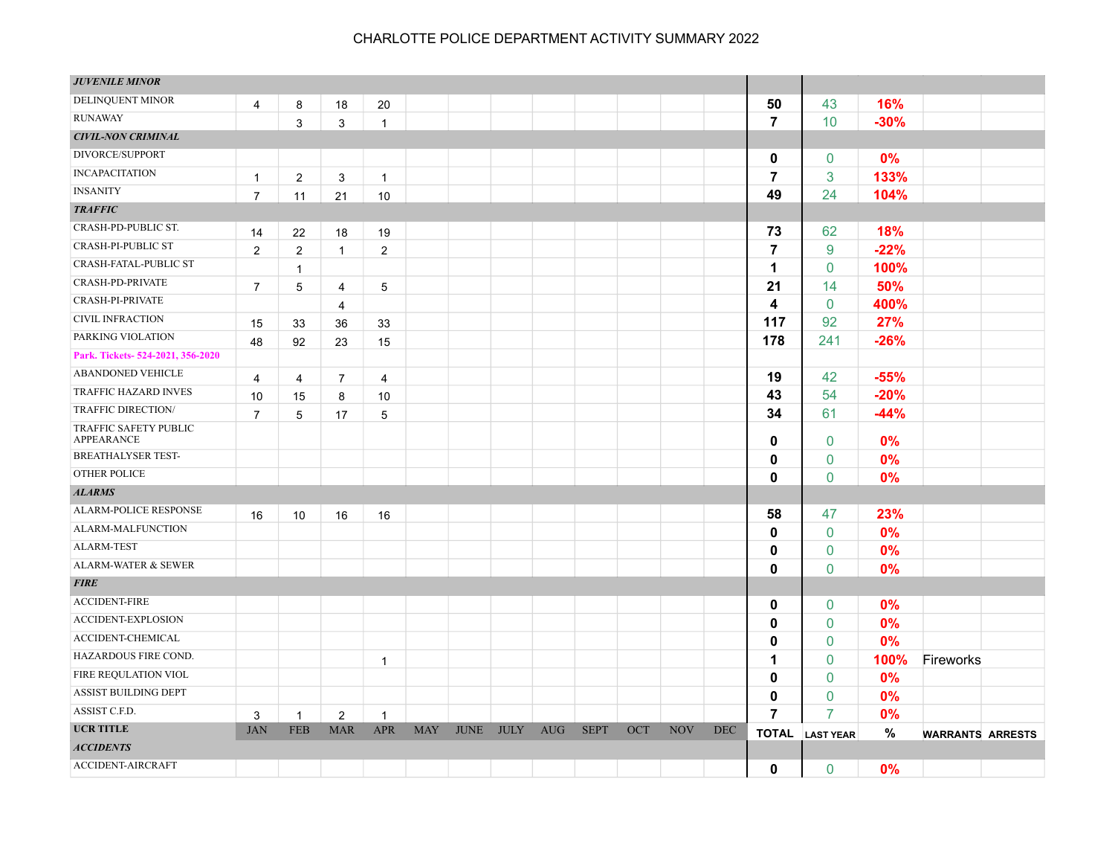| <b>JUVENILE MINOR</b>               |                |                |                |                |            |             |             |            |             |     |            |     |                |                        |        |                         |  |
|-------------------------------------|----------------|----------------|----------------|----------------|------------|-------------|-------------|------------|-------------|-----|------------|-----|----------------|------------------------|--------|-------------------------|--|
| DELINQUENT MINOR                    | 4              | 8              | 18             | 20             |            |             |             |            |             |     |            |     | 50             | 43                     | 16%    |                         |  |
| <b>RUNAWAY</b>                      |                | 3              | 3              | $\mathbf{1}$   |            |             |             |            |             |     |            |     | $\overline{7}$ | 10                     | $-30%$ |                         |  |
| <b>CIVIL-NON CRIMINAL</b>           |                |                |                |                |            |             |             |            |             |     |            |     |                |                        |        |                         |  |
| DIVORCE/SUPPORT                     |                |                |                |                |            |             |             |            |             |     |            |     | 0              | 0                      | 0%     |                         |  |
| <b>INCAPACITATION</b>               | $\mathbf{1}$   | $\overline{2}$ | 3              | $\mathbf{1}$   |            |             |             |            |             |     |            |     | $\overline{7}$ | 3                      | 133%   |                         |  |
| <b>INSANITY</b>                     | $\overline{7}$ | 11             | 21             | 10             |            |             |             |            |             |     |            |     | 49             | 24                     | 104%   |                         |  |
| <b>TRAFFIC</b>                      |                |                |                |                |            |             |             |            |             |     |            |     |                |                        |        |                         |  |
| CRASH-PD-PUBLIC ST.                 | 14             | 22             | 18             | 19             |            |             |             |            |             |     |            |     | 73             | 62                     | 18%    |                         |  |
| <b>CRASH-PI-PUBLIC ST</b>           | $\mathbf{2}$   | $\overline{c}$ | $\mathbf{1}$   | $\overline{2}$ |            |             |             |            |             |     |            |     | $\overline{7}$ | 9                      | $-22%$ |                         |  |
| CRASH-FATAL-PUBLIC ST               |                | $\mathbf{1}$   |                |                |            |             |             |            |             |     |            |     | 1              | $\mathbf 0$            | 100%   |                         |  |
| CRASH-PD-PRIVATE                    | $\overline{7}$ | 5              | 4              | $\overline{5}$ |            |             |             |            |             |     |            |     | 21             | 14                     | 50%    |                         |  |
| CRASH-PI-PRIVATE                    |                |                | 4              |                |            |             |             |            |             |     |            |     | 4              | $\mathbf 0$            | 400%   |                         |  |
| <b>CIVIL INFRACTION</b>             | 15             | 33             | 36             | 33             |            |             |             |            |             |     |            |     | 117            | 92                     | 27%    |                         |  |
| PARKING VIOLATION                   | 48             | 92             | 23             | 15             |            |             |             |            |             |     |            |     | 178            | 241                    | $-26%$ |                         |  |
| Park. Tickets-524-2021, 356-2020    |                |                |                |                |            |             |             |            |             |     |            |     |                |                        |        |                         |  |
| <b>ABANDONED VEHICLE</b>            | $\overline{4}$ | 4              | $\overline{7}$ | 4              |            |             |             |            |             |     |            |     | 19             | 42                     | $-55%$ |                         |  |
| TRAFFIC HAZARD INVES                | 10             | 15             | 8              | 10             |            |             |             |            |             |     |            |     | 43             | 54                     | $-20%$ |                         |  |
| TRAFFIC DIRECTION/                  | $\overline{7}$ | 5              | 17             | 5              |            |             |             |            |             |     |            |     | 34             | 61                     | $-44%$ |                         |  |
| TRAFFIC SAFETY PUBLIC<br>APPEARANCE |                |                |                |                |            |             |             |            |             |     |            |     | 0              | $\mathbf 0$            | 0%     |                         |  |
| <b>BREATHALYSER TEST-</b>           |                |                |                |                |            |             |             |            |             |     |            |     | 0              | 0                      | 0%     |                         |  |
| <b>OTHER POLICE</b>                 |                |                |                |                |            |             |             |            |             |     |            |     | 0              | $\mathbf{0}$           | 0%     |                         |  |
| <b>ALARMS</b>                       |                |                |                |                |            |             |             |            |             |     |            |     |                |                        |        |                         |  |
| ALARM-POLICE RESPONSE               | 16             | 10             | 16             | 16             |            |             |             |            |             |     |            |     | 58             | 47                     | 23%    |                         |  |
| ALARM-MALFUNCTION                   |                |                |                |                |            |             |             |            |             |     |            |     | 0              | $\mathbf 0$            | 0%     |                         |  |
| <b>ALARM-TEST</b>                   |                |                |                |                |            |             |             |            |             |     |            |     | 0              | 0                      | 0%     |                         |  |
| ALARM-WATER & SEWER                 |                |                |                |                |            |             |             |            |             |     |            |     | 0              | $\mathbf{0}$           | 0%     |                         |  |
| <b>FIRE</b>                         |                |                |                |                |            |             |             |            |             |     |            |     |                |                        |        |                         |  |
| <b>ACCIDENT-FIRE</b>                |                |                |                |                |            |             |             |            |             |     |            |     | 0              | $\mathbf 0$            | 0%     |                         |  |
| ACCIDENT-EXPLOSION                  |                |                |                |                |            |             |             |            |             |     |            |     | 0              | $\mathbf{0}$           | 0%     |                         |  |
| ACCIDENT-CHEMICAL                   |                |                |                |                |            |             |             |            |             |     |            |     | 0              | $\mathbf 0$            | 0%     |                         |  |
| HAZARDOUS FIRE COND.                |                |                |                | $\mathbf{1}$   |            |             |             |            |             |     |            |     | 1              | 0                      | 100%   | Fireworks               |  |
| FIRE REQULATION VIOL                |                |                |                |                |            |             |             |            |             |     |            |     | 0              | $\mathbf 0$            | 0%     |                         |  |
| ASSIST BUILDING DEPT                |                |                |                |                |            |             |             |            |             |     |            |     | 0              | 0                      | 0%     |                         |  |
| ASSIST C.F.D.                       | 3              | $\overline{1}$ | $\overline{2}$ | $\mathbf{1}$   |            |             |             |            |             |     |            |     | 7              | 7                      | 0%     |                         |  |
| <b>UCR TITLE</b>                    | <b>JAN</b>     | <b>FEB</b>     | <b>MAR</b>     | <b>APR</b>     | <b>MAY</b> | <b>JUNE</b> | <b>JULY</b> | <b>AUG</b> | <b>SEPT</b> | OCT | <b>NOV</b> | DEC |                | <b>TOTAL</b> LAST YEAR | $\%$   | <b>WARRANTS ARRESTS</b> |  |
| <b>ACCIDENTS</b>                    |                |                |                |                |            |             |             |            |             |     |            |     |                |                        |        |                         |  |
| ACCIDENT-AIRCRAFT                   |                |                |                |                |            |             |             |            |             |     |            |     | $\mathbf{0}$   | $\mathbf{0}$           | 0%     |                         |  |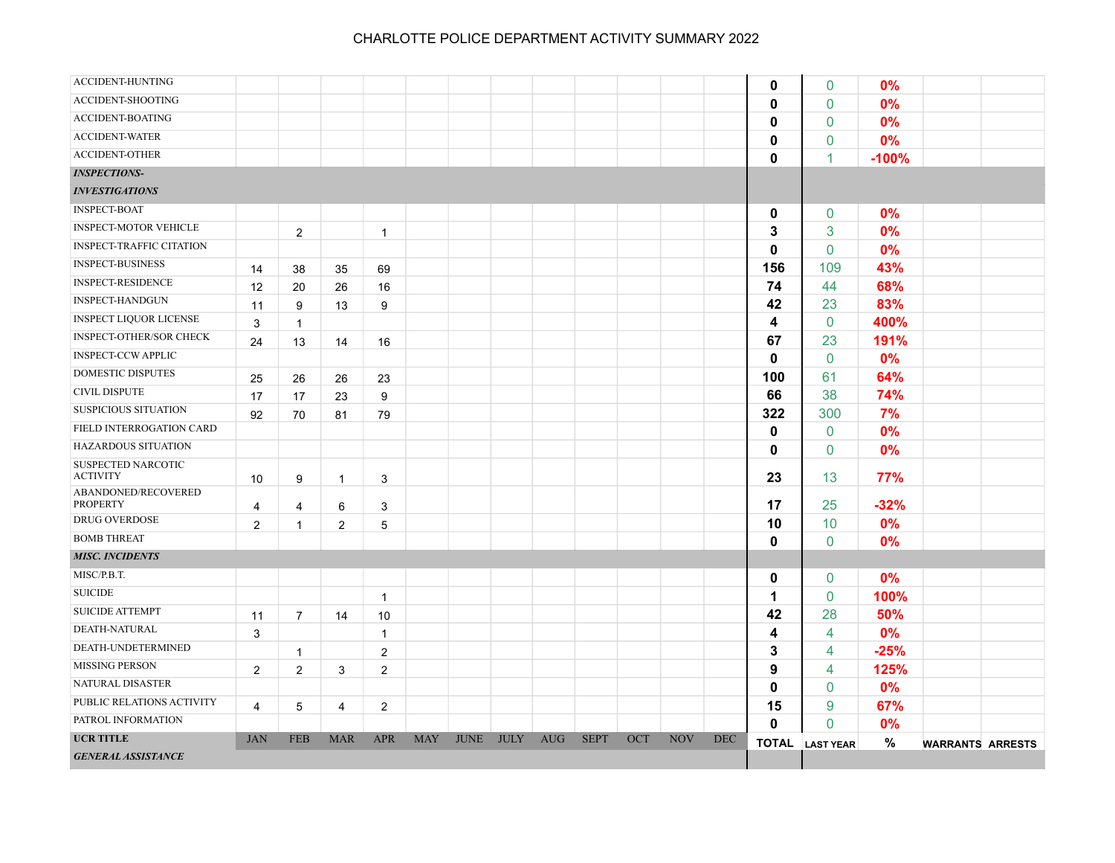| ACCIDENT-HUNTING                       |                |                |                |                |            |             |             |            |             |     |            |            | $\mathbf 0$  | $\mathbf 0$            | 0%      |                         |  |
|----------------------------------------|----------------|----------------|----------------|----------------|------------|-------------|-------------|------------|-------------|-----|------------|------------|--------------|------------------------|---------|-------------------------|--|
| ACCIDENT-SHOOTING                      |                |                |                |                |            |             |             |            |             |     |            |            | $\mathbf 0$  | $\mathbf{0}$           | 0%      |                         |  |
| ACCIDENT-BOATING                       |                |                |                |                |            |             |             |            |             |     |            |            | $\mathbf{0}$ | $\mathbf{0}$           | 0%      |                         |  |
| <b>ACCIDENT-WATER</b>                  |                |                |                |                |            |             |             |            |             |     |            |            | $\mathbf{0}$ | $\mathbf{0}$           | 0%      |                         |  |
| <b>ACCIDENT-OTHER</b>                  |                |                |                |                |            |             |             |            |             |     |            |            | $\mathbf{0}$ | 1                      | $-100%$ |                         |  |
| <b>INSPECTIONS-</b>                    |                |                |                |                |            |             |             |            |             |     |            |            |              |                        |         |                         |  |
| <b>INVESTIGATIONS</b>                  |                |                |                |                |            |             |             |            |             |     |            |            |              |                        |         |                         |  |
| <b>INSPECT-BOAT</b>                    |                |                |                |                |            |             |             |            |             |     |            |            | 0            | $\mathbf 0$            | 0%      |                         |  |
| <b>INSPECT-MOTOR VEHICLE</b>           |                | $\overline{2}$ |                | $\mathbf{1}$   |            |             |             |            |             |     |            |            | 3            | 3                      | 0%      |                         |  |
| <b>INSPECT-TRAFFIC CITATION</b>        |                |                |                |                |            |             |             |            |             |     |            |            | $\mathbf{0}$ | 0                      | 0%      |                         |  |
| <b>INSPECT-BUSINESS</b>                | 14             | 38             | 35             | 69             |            |             |             |            |             |     |            |            | 156          | 109                    | 43%     |                         |  |
| <b>INSPECT-RESIDENCE</b>               | 12             | 20             | 26             | 16             |            |             |             |            |             |     |            |            | 74           | 44                     | 68%     |                         |  |
| <b>INSPECT-HANDGUN</b>                 | 11             | 9              | 13             | 9              |            |             |             |            |             |     |            |            | 42           | 23                     | 83%     |                         |  |
| <b>INSPECT LIQUOR LICENSE</b>          | 3              | $\mathbf{1}$   |                |                |            |             |             |            |             |     |            |            | 4            | $\mathbf 0$            | 400%    |                         |  |
| INSPECT-OTHER/SOR CHECK                | 24             | 13             | 14             | 16             |            |             |             |            |             |     |            |            | 67           | 23                     | 191%    |                         |  |
| <b>INSPECT-CCW APPLIC</b>              |                |                |                |                |            |             |             |            |             |     |            |            | $\mathbf 0$  | $\mathbf 0$            | 0%      |                         |  |
| <b>DOMESTIC DISPUTES</b>               | 25             | 26             | 26             | 23             |            |             |             |            |             |     |            |            | 100          | 61                     | 64%     |                         |  |
| <b>CIVIL DISPUTE</b>                   | 17             | 17             | 23             | 9              |            |             |             |            |             |     |            |            | 66           | 38                     | 74%     |                         |  |
| SUSPICIOUS SITUATION                   | 92             | 70             | 81             | 79             |            |             |             |            |             |     |            |            | 322          | 300                    | 7%      |                         |  |
| FIELD INTERROGATION CARD               |                |                |                |                |            |             |             |            |             |     |            |            | $\mathbf 0$  | $\mathbf 0$            | 0%      |                         |  |
| <b>HAZARDOUS SITUATION</b>             |                |                |                |                |            |             |             |            |             |     |            |            | $\mathbf{0}$ | $\mathbf 0$            | 0%      |                         |  |
| SUSPECTED NARCOTIC<br><b>ACTIVITY</b>  | 10             | 9              | $\mathbf{1}$   | 3              |            |             |             |            |             |     |            |            | 23           | 13                     | 77%     |                         |  |
| ABANDONED/RECOVERED<br><b>PROPERTY</b> | 4              | 4              | 6              | 3              |            |             |             |            |             |     |            |            | 17           | 25                     | $-32%$  |                         |  |
| DRUG OVERDOSE                          | $\overline{2}$ | $\mathbf{1}$   | $\overline{2}$ | 5              |            |             |             |            |             |     |            |            | 10           | 10                     | 0%      |                         |  |
| <b>BOMB THREAT</b>                     |                |                |                |                |            |             |             |            |             |     |            |            | $\mathbf{0}$ | $\mathbf{0}$           | 0%      |                         |  |
| <b>MISC. INCIDENTS</b>                 |                |                |                |                |            |             |             |            |             |     |            |            |              |                        |         |                         |  |
| MISC/P.B.T.                            |                |                |                |                |            |             |             |            |             |     |            |            | 0            | $\mathbf 0$            | 0%      |                         |  |
| <b>SUICIDE</b>                         |                |                |                | $\mathbf{1}$   |            |             |             |            |             |     |            |            | 1            | $\mathbf{0}$           | 100%    |                         |  |
| <b>SUICIDE ATTEMPT</b>                 | 11             | $\overline{7}$ | 14             | 10             |            |             |             |            |             |     |            |            | 42           | 28                     | 50%     |                         |  |
| DEATH-NATURAL                          | 3              |                |                | $\mathbf{1}$   |            |             |             |            |             |     |            |            | 4            | 4                      | 0%      |                         |  |
| DEATH-UNDETERMINED                     |                | $\mathbf{1}$   |                | $\overline{2}$ |            |             |             |            |             |     |            |            | 3            | 4                      | $-25%$  |                         |  |
| MISSING PERSON                         | $\overline{2}$ | 2              | 3              | $\overline{2}$ |            |             |             |            |             |     |            |            | 9            | 4                      | 125%    |                         |  |
| NATURAL DISASTER                       |                |                |                |                |            |             |             |            |             |     |            |            | $\mathbf{0}$ | $\mathbf{0}$           | 0%      |                         |  |
| PUBLIC RELATIONS ACTIVITY              | 4              | 5              | 4              | $\overline{2}$ |            |             |             |            |             |     |            |            | 15           | 9                      | 67%     |                         |  |
| PATROL INFORMATION                     |                |                |                |                |            |             |             |            |             |     |            |            | $\mathbf 0$  | 0                      | 0%      |                         |  |
| <b>UCR TITLE</b>                       | <b>JAN</b>     | <b>FEB</b>     | <b>MAR</b>     | <b>APR</b>     | <b>MAY</b> | <b>JUNE</b> | <b>JULY</b> | <b>AUG</b> | <b>SEPT</b> | OCT | <b>NOV</b> | <b>DEC</b> |              | <b>TOTAL</b> LAST YEAR | $\%$    | <b>WARRANTS ARRESTS</b> |  |
| <b>GENERAL ASSISTANCE</b>              |                |                |                |                |            |             |             |            |             |     |            |            |              |                        |         |                         |  |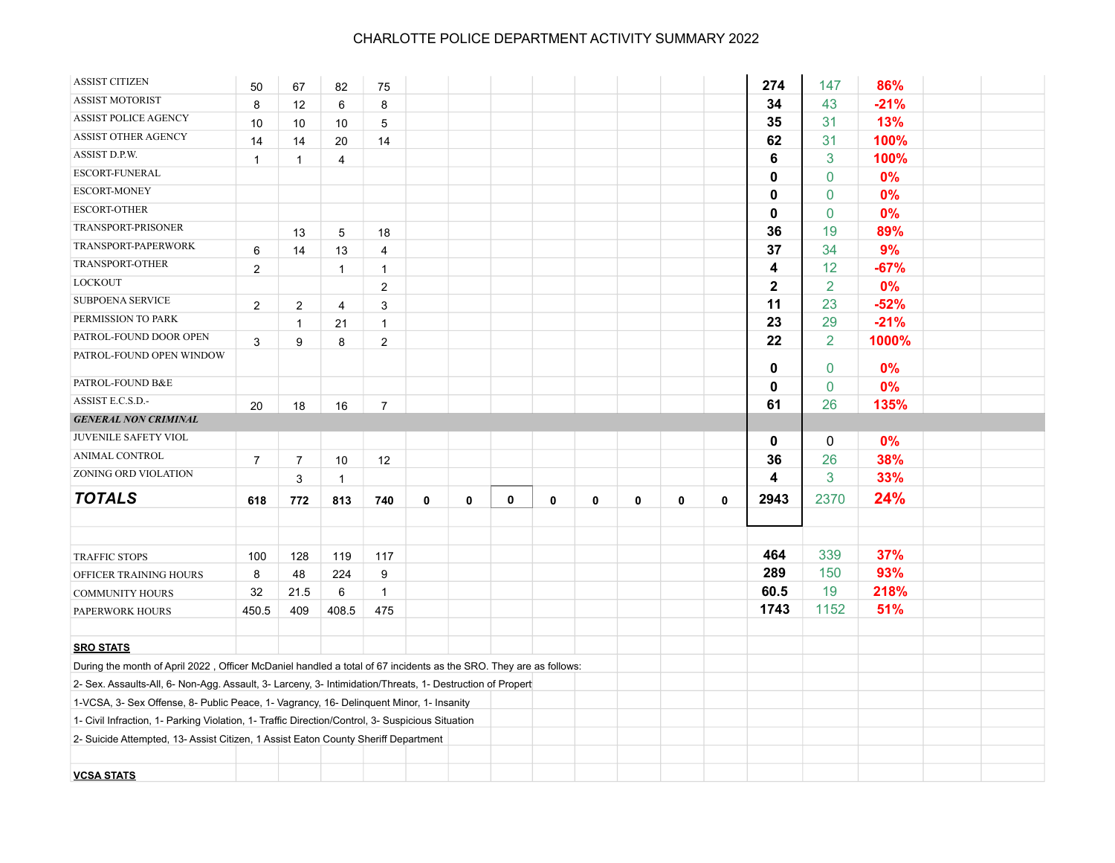| <b>ASSIST CITIZEN</b>                                                                                             | 50             | 67             | 82             | 75                      |   |   |   |   |   |             |             |             | 274                     | 147            | 86%    |  |
|-------------------------------------------------------------------------------------------------------------------|----------------|----------------|----------------|-------------------------|---|---|---|---|---|-------------|-------------|-------------|-------------------------|----------------|--------|--|
| <b>ASSIST MOTORIST</b>                                                                                            | 8              | 12             | 6              | 8                       |   |   |   |   |   |             |             |             | 34                      | 43             | $-21%$ |  |
| <b>ASSIST POLICE AGENCY</b>                                                                                       | 10             | 10             | 10             | 5                       |   |   |   |   |   |             |             |             | 35                      | 31             | 13%    |  |
| ASSIST OTHER AGENCY                                                                                               | 14             | 14             | 20             | 14                      |   |   |   |   |   |             |             |             | 62                      | 31             | 100%   |  |
| ASSIST D.P.W.                                                                                                     | $\mathbf{1}$   | $\mathbf{1}$   | $\overline{4}$ |                         |   |   |   |   |   |             |             |             | 6                       | 3              | 100%   |  |
| ESCORT-FUNERAL                                                                                                    |                |                |                |                         |   |   |   |   |   |             |             |             | 0                       | 0              | 0%     |  |
| <b>ESCORT-MONEY</b>                                                                                               |                |                |                |                         |   |   |   |   |   |             |             |             | 0                       | $\pmb{0}$      | 0%     |  |
| <b>ESCORT-OTHER</b>                                                                                               |                |                |                |                         |   |   |   |   |   |             |             |             | 0                       | $\mathbf 0$    | 0%     |  |
| TRANSPORT-PRISONER                                                                                                |                | 13             | 5              | 18                      |   |   |   |   |   |             |             |             | 36                      | 19             | 89%    |  |
| TRANSPORT-PAPERWORK                                                                                               | 6              | 14             | 13             | $\overline{4}$          |   |   |   |   |   |             |             |             | 37                      | 34             | 9%     |  |
| TRANSPORT-OTHER                                                                                                   | $\overline{c}$ |                | $\mathbf{1}$   | $\mathbf{1}$            |   |   |   |   |   |             |             |             | 4                       | 12             | $-67%$ |  |
| LOCKOUT                                                                                                           |                |                |                | $\overline{2}$          |   |   |   |   |   |             |             |             | $\overline{\mathbf{2}}$ | $\overline{2}$ | 0%     |  |
| <b>SUBPOENA SERVICE</b>                                                                                           | $\overline{2}$ | $\overline{2}$ | $\overline{4}$ | 3                       |   |   |   |   |   |             |             |             | 11                      | 23             | $-52%$ |  |
| PERMISSION TO PARK                                                                                                |                | $\mathbf{1}$   | 21             | $\mathbf{1}$            |   |   |   |   |   |             |             |             | 23                      | 29             | $-21%$ |  |
| PATROL-FOUND DOOR OPEN                                                                                            | 3              | 9              | 8              | $\overline{\mathbf{c}}$ |   |   |   |   |   |             |             |             | 22                      | $\overline{2}$ | 1000%  |  |
| PATROL-FOUND OPEN WINDOW                                                                                          |                |                |                |                         |   |   |   |   |   |             |             |             | 0                       | 0              | 0%     |  |
| PATROL-FOUND B&E                                                                                                  |                |                |                |                         |   |   |   |   |   |             |             |             | 0                       | 0              | 0%     |  |
| ASSIST E.C.S.D.-                                                                                                  | 20             | 18             | 16             | $\overline{7}$          |   |   |   |   |   |             |             |             | 61                      | 26             | 135%   |  |
| <b>GENERAL NON CRIMINAL</b>                                                                                       |                |                |                |                         |   |   |   |   |   |             |             |             |                         |                |        |  |
| JUVENILE SAFETY VIOL                                                                                              |                |                |                |                         |   |   |   |   |   |             |             |             | $\mathbf 0$             | 0              | 0%     |  |
| ANIMAL CONTROL                                                                                                    | $\overline{7}$ | $\overline{7}$ | 10             | 12                      |   |   |   |   |   |             |             |             | 36                      | 26             | 38%    |  |
| ZONING ORD VIOLATION                                                                                              |                | 3              | $\mathbf{1}$   |                         |   |   |   |   |   |             |             |             | 4                       | 3              | 33%    |  |
| <b>TOTALS</b>                                                                                                     |                |                |                |                         |   |   |   |   |   |             |             |             |                         |                | 24%    |  |
|                                                                                                                   | 618            | 772            | 813            | 740                     | 0 | 0 | 0 | 0 | 0 | $\mathbf 0$ | $\mathbf 0$ | $\mathbf 0$ | 2943                    | 2370           |        |  |
|                                                                                                                   |                |                |                |                         |   |   |   |   |   |             |             |             |                         |                |        |  |
| <b>TRAFFIC STOPS</b>                                                                                              | 100            | 128            | 119            | 117                     |   |   |   |   |   |             |             |             | 464                     | 339            | 37%    |  |
| OFFICER TRAINING HOURS                                                                                            | 8              | 48             | 224            | 9                       |   |   |   |   |   |             |             |             | 289                     | 150            | 93%    |  |
| <b>COMMUNITY HOURS</b>                                                                                            | 32             | 21.5           | 6              | $\mathbf{1}$            |   |   |   |   |   |             |             |             | 60.5                    | 19             | 218%   |  |
| PAPERWORK HOURS                                                                                                   | 450.5          | 409            | 408.5          | 475                     |   |   |   |   |   |             |             |             | 1743                    | 1152           | 51%    |  |
|                                                                                                                   |                |                |                |                         |   |   |   |   |   |             |             |             |                         |                |        |  |
| <b>SRO STATS</b>                                                                                                  |                |                |                |                         |   |   |   |   |   |             |             |             |                         |                |        |  |
| During the month of April 2022, Officer McDaniel handled a total of 67 incidents as the SRO. They are as follows: |                |                |                |                         |   |   |   |   |   |             |             |             |                         |                |        |  |
| 2- Sex. Assaults-All, 6- Non-Agg. Assault, 3- Larceny, 3- Intimidation/Threats, 1- Destruction of Propert         |                |                |                |                         |   |   |   |   |   |             |             |             |                         |                |        |  |
| 1-VCSA, 3- Sex Offense, 8- Public Peace, 1- Vagrancy, 16- Delinquent Minor, 1- Insanity                           |                |                |                |                         |   |   |   |   |   |             |             |             |                         |                |        |  |
| 1- Civil Infraction, 1- Parking Violation, 1- Traffic Direction/Control, 3- Suspicious Situation                  |                |                |                |                         |   |   |   |   |   |             |             |             |                         |                |        |  |
| 2- Suicide Attempted, 13- Assist Citizen, 1 Assist Eaton County Sheriff Department                                |                |                |                |                         |   |   |   |   |   |             |             |             |                         |                |        |  |
|                                                                                                                   |                |                |                |                         |   |   |   |   |   |             |             |             |                         |                |        |  |
| <b>VCSA STATS</b>                                                                                                 |                |                |                |                         |   |   |   |   |   |             |             |             |                         |                |        |  |